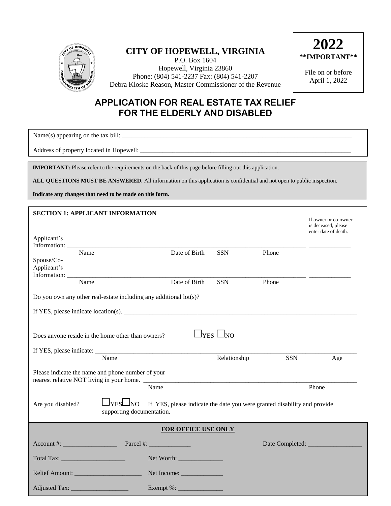

## **CITY OF HOPEWELL, VIRGINIA**

P.O. Box 1604 Hopewell, Virginia 23860 Phone: (804) 541-2237 Fax: (804) 541-2207 Debra Kloske Reason, Master Commissioner of the Revenue



File on or before April 1, 2022

## **APPLICATION FOR REAL ESTATE TAX RELIEF FOR THE ELDERLY AND DISABLED**

Name(s) appearing on the tax bill: \_\_\_\_\_\_\_\_\_\_\_\_\_\_\_\_\_\_\_\_\_\_\_\_\_\_\_\_\_\_\_\_\_\_\_\_\_\_\_\_\_\_\_\_\_\_\_\_\_\_\_\_\_\_\_\_\_\_\_\_\_\_\_\_\_\_\_\_\_\_\_\_

Address of property located in Hopewell: \_\_\_\_\_\_\_\_\_\_\_\_\_\_\_\_\_\_\_\_\_\_\_\_\_\_\_\_\_\_\_\_\_\_\_\_\_\_\_\_\_\_\_\_\_\_\_\_\_\_\_\_\_\_\_\_\_\_\_\_\_\_\_\_\_\_

**IMPORTANT:** Please refer to the requirements on the back of this page before filling out this application.

**ALL QUESTIONS MUST BE ANSWERED.** All information on this application is confidential and not open to public inspection.

**Indicate any changes that need to be made on this form.**

|                           |      | <b>SECTION 1: APPLICANT INFORMATION</b>           |                                                                          |                      |       | If owner or co-owner<br>is deceased, please<br>enter date of death. |
|---------------------------|------|---------------------------------------------------|--------------------------------------------------------------------------|----------------------|-------|---------------------------------------------------------------------|
| Applicant's               |      |                                                   |                                                                          |                      |       |                                                                     |
| Spouse/Co-<br>Applicant's | Name |                                                   | Date of Birth                                                            | <b>SSN</b>           | Phone |                                                                     |
|                           | Name |                                                   | Date of Birth                                                            | <b>SSN</b>           | Phone |                                                                     |
|                           |      |                                                   | Do you own any other real-estate including any additional lot(s)?        |                      |       |                                                                     |
|                           |      |                                                   |                                                                          |                      |       |                                                                     |
|                           |      |                                                   |                                                                          |                      |       |                                                                     |
|                           |      | Does anyone reside in the home other than owners? |                                                                          | $\Box$ YES $\Box$ NO |       |                                                                     |
|                           |      |                                                   |                                                                          |                      |       |                                                                     |
|                           |      | Name                                              |                                                                          | Relationship         | SSN   | Age                                                                 |
|                           |      | Please indicate the name and phone number of your | nearest relative NOT living in your home.                                |                      |       |                                                                     |
|                           |      |                                                   | Name                                                                     |                      |       | Phone                                                               |
| Are you disabled?         |      | $\Box$ YES $\Box$ NO<br>supporting documentation. | If YES, please indicate the date you were granted disability and provide |                      |       |                                                                     |
|                           |      |                                                   | <b>FOR OFFICE USE ONLY</b>                                               |                      |       |                                                                     |
|                           |      |                                                   |                                                                          |                      |       | Date Completed:                                                     |
|                           |      |                                                   |                                                                          |                      |       |                                                                     |
|                           |      |                                                   |                                                                          |                      |       |                                                                     |
|                           |      |                                                   |                                                                          |                      |       |                                                                     |